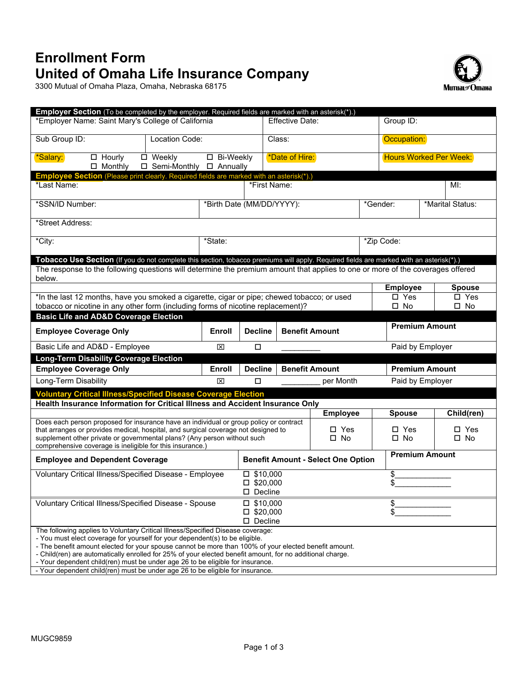## **Enrollment Form United of Omaha Life Insurance Company**

3300 Mutual of Omaha Plaza, Omaha, Nebraska 68175



| <b>Employer Section</b> (To be completed by the employer. Required fields are marked with an asterisk(*).)                                                       |                                       |                                         |                                         |                 |                                           |                       |                               |                  |                               |
|------------------------------------------------------------------------------------------------------------------------------------------------------------------|---------------------------------------|-----------------------------------------|-----------------------------------------|-----------------|-------------------------------------------|-----------------------|-------------------------------|------------------|-------------------------------|
| *Employer Name: Saint Mary's College of California                                                                                                               |                                       |                                         |                                         | Effective Date: |                                           |                       | Group ID:                     |                  |                               |
| Sub Group ID:                                                                                                                                                    | Location Code:                        |                                         |                                         | Class:          |                                           |                       | Occupation:                   |                  |                               |
| *Salary:<br>$\Box$ Hourly<br>$\Box$ Monthly                                                                                                                      | □ Weekly<br>□ Semi-Monthly □ Annually | □ Bi-Weekly                             |                                         | *Date of Hire:  |                                           |                       | <b>Hours Worked Per Week:</b> |                  |                               |
| Employee Section (Please print clearly. Required fields are marked with an asterisk(*).)                                                                         |                                       |                                         |                                         |                 |                                           |                       |                               |                  |                               |
| *Last Name:                                                                                                                                                      |                                       |                                         | *First Name:                            |                 |                                           |                       |                               |                  | Ml:                           |
| *SSN/ID Number:                                                                                                                                                  |                                       | *Birth Date (MM/DD/YYYY):               |                                         |                 |                                           | *Gender:              |                               | *Marital Status: |                               |
| *Street Address:                                                                                                                                                 |                                       |                                         |                                         |                 |                                           |                       |                               |                  |                               |
| *City:                                                                                                                                                           | *State:                               |                                         |                                         |                 | *Zip Code:                                |                       |                               |                  |                               |
| Tobacco Use Section (If you do not complete this section, tobacco premiums will apply. Required fields are marked with an asterisk(*).)                          |                                       |                                         |                                         |                 |                                           |                       |                               |                  |                               |
| The response to the following questions will determine the premium amount that applies to one or more of the coverages offered                                   |                                       |                                         |                                         |                 |                                           |                       |                               |                  |                               |
| below.                                                                                                                                                           |                                       |                                         |                                         |                 |                                           |                       |                               |                  |                               |
|                                                                                                                                                                  |                                       |                                         |                                         |                 |                                           |                       | <b>Employee</b>               |                  | <b>Spouse</b>                 |
| *In the last 12 months, have you smoked a cigarette, cigar or pipe; chewed tobacco; or used                                                                      |                                       |                                         |                                         |                 |                                           |                       | $\square$ Yes                 |                  | $\square$ Yes                 |
| tobacco or nicotine in any other form (including forms of nicotine replacement)?                                                                                 |                                       |                                         |                                         |                 |                                           |                       | $\square$ No                  |                  | $\square$ No                  |
| <b>Basic Life and AD&amp;D Coverage Election</b>                                                                                                                 |                                       |                                         |                                         |                 |                                           |                       |                               |                  |                               |
| <b>Employee Coverage Only</b>                                                                                                                                    |                                       | Enroll                                  | <b>Decline</b>                          |                 | <b>Benefit Amount</b>                     | <b>Premium Amount</b> |                               |                  |                               |
| Basic Life and AD&D - Employee                                                                                                                                   | ⊠                                     | Paid by Employer<br>□                   |                                         |                 |                                           |                       |                               |                  |                               |
| <b>Long-Term Disability Coverage Election</b>                                                                                                                    |                                       |                                         |                                         |                 |                                           |                       |                               |                  |                               |
| <b>Employee Coverage Only</b>                                                                                                                                    |                                       | Enroll                                  | <b>Benefit Amount</b><br><b>Decline</b> |                 |                                           |                       | <b>Premium Amount</b>         |                  |                               |
| Long-Term Disability                                                                                                                                             |                                       | 図                                       | □                                       |                 | per Month                                 |                       | Paid by Employer              |                  |                               |
| <b>Voluntary Critical Illness/Specified Disease Coverage Election</b>                                                                                            |                                       |                                         |                                         |                 |                                           |                       |                               |                  |                               |
| Health Insurance Information for Critical Illness and Accident Insurance Only                                                                                    |                                       |                                         |                                         |                 |                                           |                       |                               |                  |                               |
|                                                                                                                                                                  |                                       |                                         |                                         |                 | <b>Employee</b>                           |                       | <b>Spouse</b>                 |                  | Child(ren)                    |
| Does each person proposed for insurance have an individual or group policy or contract                                                                           |                                       |                                         |                                         |                 | $\square$ Yes                             |                       |                               |                  |                               |
| that arranges or provides medical, hospital, and surgical coverage not designed to<br>supplement other private or governmental plans? (Any person without such   |                                       |                                         |                                         | $\square$ No    |                                           |                       | $\Box$ Yes<br>$\square$ No    |                  | $\square$ Yes<br>$\square$ No |
| comprehensive coverage is ineligible for this insurance.)                                                                                                        |                                       |                                         |                                         |                 |                                           |                       |                               |                  |                               |
| <b>Employee and Dependent Coverage</b>                                                                                                                           |                                       |                                         |                                         |                 | <b>Benefit Amount - Select One Option</b> |                       | <b>Premium Amount</b>         |                  |                               |
| Voluntary Critical Illness/Specified Disease - Employee                                                                                                          |                                       | $\square$ \$10,000                      |                                         |                 |                                           | \$                    |                               |                  |                               |
|                                                                                                                                                                  |                                       | $\square$ \$20,000                      |                                         |                 |                                           |                       |                               |                  |                               |
|                                                                                                                                                                  |                                       |                                         | □ Decline                               |                 |                                           |                       |                               |                  |                               |
| Voluntary Critical Illness/Specified Disease - Spouse                                                                                                            |                                       |                                         | $\Box$ \$10,000                         |                 |                                           |                       | \$                            |                  |                               |
|                                                                                                                                                                  |                                       | $\square$ \$20,000<br>$\square$ Decline |                                         |                 |                                           |                       |                               |                  |                               |
| The following applies to Voluntary Critical Illness/Specified Disease coverage:                                                                                  |                                       |                                         |                                         |                 |                                           |                       |                               |                  |                               |
| - You must elect coverage for yourself for your dependent(s) to be eligible.                                                                                     |                                       |                                         |                                         |                 |                                           |                       |                               |                  |                               |
| - The benefit amount elected for your spouse cannot be more than 100% of your elected benefit amount.                                                            |                                       |                                         |                                         |                 |                                           |                       |                               |                  |                               |
| - Child(ren) are automatically enrolled for 25% of your elected benefit amount, for no additional charge.                                                        |                                       |                                         |                                         |                 |                                           |                       |                               |                  |                               |
| - Your dependent child(ren) must be under age 26 to be eligible for insurance.<br>- Your dependent child(ren) must be under age 26 to be eligible for insurance. |                                       |                                         |                                         |                 |                                           |                       |                               |                  |                               |
|                                                                                                                                                                  |                                       |                                         |                                         |                 |                                           |                       |                               |                  |                               |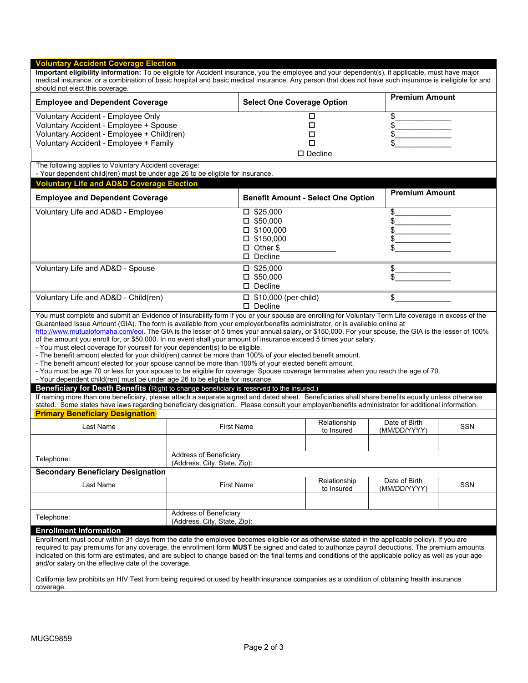| <b>Select One Coverage Option</b><br><b>Employee and Dependent Coverage</b><br>Voluntary Accident - Employee Only<br>Voluntary Accident - Employee + Spouse<br>Voluntary Accident - Employee + Child(ren)<br>Voluntary Accident - Employee + Family<br>The following applies to Voluntary Accident coverage:<br>- Your dependent child(ren) must be under age 26 to be eligible for insurance.<br><b>Voluntary Life and AD&amp;D Coverage Election</b><br><b>Employee and Dependent Coverage</b><br>Voluntary Life and AD&D - Employee<br>$\square$ \$25,000<br>$\Box$ \$50,000<br>$\square$ \$100,000<br>$\square$ \$150,000<br>$\Box$ Other \$<br>$\square$ Decline<br>Voluntary Life and AD&D - Spouse<br>$\square$ \$25,000<br>$\Box$ \$50,000<br>$\square$ Decline<br>$\Box$ \$10,000 (per child)<br>Voluntary Life and AD&D - Child(ren)<br>$\square$ Decline<br>You must complete and submit an Evidence of Insurability form if you or your spouse are enrolling for Voluntary Term Life coverage in excess of the<br>Guaranteed Issue Amount (GIA). The form is available from your employer/benefits administrator, or is available online at<br>http://www.mutualofomaha.com/eoi. The GIA is the lesser of 5 times your annual salary, or \$150,000. For your spouse, the GIA is the lesser of 100%<br>of the amount you enroll for, or \$50,000. In no event shall your amount of insurance exceed 5 times your salary.<br>- You must elect coverage for yourself for your dependent(s) to be eligible.<br>- The benefit amount elected for your child(ren) cannot be more than 100% of your elected benefit amount.<br>- The benefit amount elected for your spouse cannot be more than 100% of your elected benefit amount.<br>- You must be age 70 or less for your spouse to be eligible for coverage. Spouse coverage terminates when you reach the age of 70.<br>- Your dependent child(ren) must be under age 26 to be eligible for insurance.<br>Beneficiary for Death Benefits (Right to change beneficiary is reserved to the insured.)<br>If naming more than one beneficiary, please attach a separate signed and dated sheet. Beneficiaries shall share benefits equally unless otherwise<br>stated. Some states have laws regarding beneficiary designation. Please consult your employer/benefits administrator for additional information.<br><b>Primary Beneficiary Designation</b><br>Last Name<br><b>First Name</b><br>Address of Beneficiary<br>Telephone:<br>(Address, City, State, Zip):<br><b>Secondary Beneficiary Designation</b><br>Last Name<br><b>First Name</b><br>Address of Beneficiary<br>Telephone: | □                                         | medical insurance, or a combination of basic hospital and basic medical insurance. Any person that does not have such insurance is ineligible for and |     |  |
|--------------------------------------------------------------------------------------------------------------------------------------------------------------------------------------------------------------------------------------------------------------------------------------------------------------------------------------------------------------------------------------------------------------------------------------------------------------------------------------------------------------------------------------------------------------------------------------------------------------------------------------------------------------------------------------------------------------------------------------------------------------------------------------------------------------------------------------------------------------------------------------------------------------------------------------------------------------------------------------------------------------------------------------------------------------------------------------------------------------------------------------------------------------------------------------------------------------------------------------------------------------------------------------------------------------------------------------------------------------------------------------------------------------------------------------------------------------------------------------------------------------------------------------------------------------------------------------------------------------------------------------------------------------------------------------------------------------------------------------------------------------------------------------------------------------------------------------------------------------------------------------------------------------------------------------------------------------------------------------------------------------------------------------------------------------------------------------------------------------------------------------------------------------------------------------------------------------------------------------------------------------------------------------------------------------------------------------------------------------------------------------------------------------------------------------------------------------------------------------------------------------------------------------------------------------------------------------------------------------------------------------------------|-------------------------------------------|-------------------------------------------------------------------------------------------------------------------------------------------------------|-----|--|
|                                                                                                                                                                                                                                                                                                                                                                                                                                                                                                                                                                                                                                                                                                                                                                                                                                                                                                                                                                                                                                                                                                                                                                                                                                                                                                                                                                                                                                                                                                                                                                                                                                                                                                                                                                                                                                                                                                                                                                                                                                                                                                                                                                                                                                                                                                                                                                                                                                                                                                                                                                                                                                                  |                                           | <b>Premium Amount</b>                                                                                                                                 |     |  |
|                                                                                                                                                                                                                                                                                                                                                                                                                                                                                                                                                                                                                                                                                                                                                                                                                                                                                                                                                                                                                                                                                                                                                                                                                                                                                                                                                                                                                                                                                                                                                                                                                                                                                                                                                                                                                                                                                                                                                                                                                                                                                                                                                                                                                                                                                                                                                                                                                                                                                                                                                                                                                                                  |                                           | \$                                                                                                                                                    |     |  |
|                                                                                                                                                                                                                                                                                                                                                                                                                                                                                                                                                                                                                                                                                                                                                                                                                                                                                                                                                                                                                                                                                                                                                                                                                                                                                                                                                                                                                                                                                                                                                                                                                                                                                                                                                                                                                                                                                                                                                                                                                                                                                                                                                                                                                                                                                                                                                                                                                                                                                                                                                                                                                                                  | $\Box$                                    | \$                                                                                                                                                    |     |  |
|                                                                                                                                                                                                                                                                                                                                                                                                                                                                                                                                                                                                                                                                                                                                                                                                                                                                                                                                                                                                                                                                                                                                                                                                                                                                                                                                                                                                                                                                                                                                                                                                                                                                                                                                                                                                                                                                                                                                                                                                                                                                                                                                                                                                                                                                                                                                                                                                                                                                                                                                                                                                                                                  | $\Box$                                    | \$                                                                                                                                                    |     |  |
|                                                                                                                                                                                                                                                                                                                                                                                                                                                                                                                                                                                                                                                                                                                                                                                                                                                                                                                                                                                                                                                                                                                                                                                                                                                                                                                                                                                                                                                                                                                                                                                                                                                                                                                                                                                                                                                                                                                                                                                                                                                                                                                                                                                                                                                                                                                                                                                                                                                                                                                                                                                                                                                  | □                                         | \$                                                                                                                                                    |     |  |
|                                                                                                                                                                                                                                                                                                                                                                                                                                                                                                                                                                                                                                                                                                                                                                                                                                                                                                                                                                                                                                                                                                                                                                                                                                                                                                                                                                                                                                                                                                                                                                                                                                                                                                                                                                                                                                                                                                                                                                                                                                                                                                                                                                                                                                                                                                                                                                                                                                                                                                                                                                                                                                                  | $\square$ Decline                         |                                                                                                                                                       |     |  |
|                                                                                                                                                                                                                                                                                                                                                                                                                                                                                                                                                                                                                                                                                                                                                                                                                                                                                                                                                                                                                                                                                                                                                                                                                                                                                                                                                                                                                                                                                                                                                                                                                                                                                                                                                                                                                                                                                                                                                                                                                                                                                                                                                                                                                                                                                                                                                                                                                                                                                                                                                                                                                                                  |                                           |                                                                                                                                                       |     |  |
|                                                                                                                                                                                                                                                                                                                                                                                                                                                                                                                                                                                                                                                                                                                                                                                                                                                                                                                                                                                                                                                                                                                                                                                                                                                                                                                                                                                                                                                                                                                                                                                                                                                                                                                                                                                                                                                                                                                                                                                                                                                                                                                                                                                                                                                                                                                                                                                                                                                                                                                                                                                                                                                  |                                           |                                                                                                                                                       |     |  |
|                                                                                                                                                                                                                                                                                                                                                                                                                                                                                                                                                                                                                                                                                                                                                                                                                                                                                                                                                                                                                                                                                                                                                                                                                                                                                                                                                                                                                                                                                                                                                                                                                                                                                                                                                                                                                                                                                                                                                                                                                                                                                                                                                                                                                                                                                                                                                                                                                                                                                                                                                                                                                                                  | <b>Benefit Amount - Select One Option</b> | <b>Premium Amount</b>                                                                                                                                 |     |  |
|                                                                                                                                                                                                                                                                                                                                                                                                                                                                                                                                                                                                                                                                                                                                                                                                                                                                                                                                                                                                                                                                                                                                                                                                                                                                                                                                                                                                                                                                                                                                                                                                                                                                                                                                                                                                                                                                                                                                                                                                                                                                                                                                                                                                                                                                                                                                                                                                                                                                                                                                                                                                                                                  |                                           | \$                                                                                                                                                    |     |  |
|                                                                                                                                                                                                                                                                                                                                                                                                                                                                                                                                                                                                                                                                                                                                                                                                                                                                                                                                                                                                                                                                                                                                                                                                                                                                                                                                                                                                                                                                                                                                                                                                                                                                                                                                                                                                                                                                                                                                                                                                                                                                                                                                                                                                                                                                                                                                                                                                                                                                                                                                                                                                                                                  |                                           | \$                                                                                                                                                    |     |  |
|                                                                                                                                                                                                                                                                                                                                                                                                                                                                                                                                                                                                                                                                                                                                                                                                                                                                                                                                                                                                                                                                                                                                                                                                                                                                                                                                                                                                                                                                                                                                                                                                                                                                                                                                                                                                                                                                                                                                                                                                                                                                                                                                                                                                                                                                                                                                                                                                                                                                                                                                                                                                                                                  |                                           | \$                                                                                                                                                    |     |  |
|                                                                                                                                                                                                                                                                                                                                                                                                                                                                                                                                                                                                                                                                                                                                                                                                                                                                                                                                                                                                                                                                                                                                                                                                                                                                                                                                                                                                                                                                                                                                                                                                                                                                                                                                                                                                                                                                                                                                                                                                                                                                                                                                                                                                                                                                                                                                                                                                                                                                                                                                                                                                                                                  |                                           | \$                                                                                                                                                    |     |  |
|                                                                                                                                                                                                                                                                                                                                                                                                                                                                                                                                                                                                                                                                                                                                                                                                                                                                                                                                                                                                                                                                                                                                                                                                                                                                                                                                                                                                                                                                                                                                                                                                                                                                                                                                                                                                                                                                                                                                                                                                                                                                                                                                                                                                                                                                                                                                                                                                                                                                                                                                                                                                                                                  |                                           |                                                                                                                                                       |     |  |
|                                                                                                                                                                                                                                                                                                                                                                                                                                                                                                                                                                                                                                                                                                                                                                                                                                                                                                                                                                                                                                                                                                                                                                                                                                                                                                                                                                                                                                                                                                                                                                                                                                                                                                                                                                                                                                                                                                                                                                                                                                                                                                                                                                                                                                                                                                                                                                                                                                                                                                                                                                                                                                                  |                                           |                                                                                                                                                       |     |  |
|                                                                                                                                                                                                                                                                                                                                                                                                                                                                                                                                                                                                                                                                                                                                                                                                                                                                                                                                                                                                                                                                                                                                                                                                                                                                                                                                                                                                                                                                                                                                                                                                                                                                                                                                                                                                                                                                                                                                                                                                                                                                                                                                                                                                                                                                                                                                                                                                                                                                                                                                                                                                                                                  |                                           | \$                                                                                                                                                    |     |  |
|                                                                                                                                                                                                                                                                                                                                                                                                                                                                                                                                                                                                                                                                                                                                                                                                                                                                                                                                                                                                                                                                                                                                                                                                                                                                                                                                                                                                                                                                                                                                                                                                                                                                                                                                                                                                                                                                                                                                                                                                                                                                                                                                                                                                                                                                                                                                                                                                                                                                                                                                                                                                                                                  |                                           |                                                                                                                                                       |     |  |
|                                                                                                                                                                                                                                                                                                                                                                                                                                                                                                                                                                                                                                                                                                                                                                                                                                                                                                                                                                                                                                                                                                                                                                                                                                                                                                                                                                                                                                                                                                                                                                                                                                                                                                                                                                                                                                                                                                                                                                                                                                                                                                                                                                                                                                                                                                                                                                                                                                                                                                                                                                                                                                                  |                                           |                                                                                                                                                       |     |  |
|                                                                                                                                                                                                                                                                                                                                                                                                                                                                                                                                                                                                                                                                                                                                                                                                                                                                                                                                                                                                                                                                                                                                                                                                                                                                                                                                                                                                                                                                                                                                                                                                                                                                                                                                                                                                                                                                                                                                                                                                                                                                                                                                                                                                                                                                                                                                                                                                                                                                                                                                                                                                                                                  |                                           | \$                                                                                                                                                    |     |  |
|                                                                                                                                                                                                                                                                                                                                                                                                                                                                                                                                                                                                                                                                                                                                                                                                                                                                                                                                                                                                                                                                                                                                                                                                                                                                                                                                                                                                                                                                                                                                                                                                                                                                                                                                                                                                                                                                                                                                                                                                                                                                                                                                                                                                                                                                                                                                                                                                                                                                                                                                                                                                                                                  |                                           |                                                                                                                                                       |     |  |
|                                                                                                                                                                                                                                                                                                                                                                                                                                                                                                                                                                                                                                                                                                                                                                                                                                                                                                                                                                                                                                                                                                                                                                                                                                                                                                                                                                                                                                                                                                                                                                                                                                                                                                                                                                                                                                                                                                                                                                                                                                                                                                                                                                                                                                                                                                                                                                                                                                                                                                                                                                                                                                                  |                                           |                                                                                                                                                       |     |  |
|                                                                                                                                                                                                                                                                                                                                                                                                                                                                                                                                                                                                                                                                                                                                                                                                                                                                                                                                                                                                                                                                                                                                                                                                                                                                                                                                                                                                                                                                                                                                                                                                                                                                                                                                                                                                                                                                                                                                                                                                                                                                                                                                                                                                                                                                                                                                                                                                                                                                                                                                                                                                                                                  |                                           |                                                                                                                                                       |     |  |
|                                                                                                                                                                                                                                                                                                                                                                                                                                                                                                                                                                                                                                                                                                                                                                                                                                                                                                                                                                                                                                                                                                                                                                                                                                                                                                                                                                                                                                                                                                                                                                                                                                                                                                                                                                                                                                                                                                                                                                                                                                                                                                                                                                                                                                                                                                                                                                                                                                                                                                                                                                                                                                                  | Relationship                              | Date of Birth                                                                                                                                         |     |  |
|                                                                                                                                                                                                                                                                                                                                                                                                                                                                                                                                                                                                                                                                                                                                                                                                                                                                                                                                                                                                                                                                                                                                                                                                                                                                                                                                                                                                                                                                                                                                                                                                                                                                                                                                                                                                                                                                                                                                                                                                                                                                                                                                                                                                                                                                                                                                                                                                                                                                                                                                                                                                                                                  | to Insured                                | (MM/DD/YYYY)                                                                                                                                          | SSN |  |
|                                                                                                                                                                                                                                                                                                                                                                                                                                                                                                                                                                                                                                                                                                                                                                                                                                                                                                                                                                                                                                                                                                                                                                                                                                                                                                                                                                                                                                                                                                                                                                                                                                                                                                                                                                                                                                                                                                                                                                                                                                                                                                                                                                                                                                                                                                                                                                                                                                                                                                                                                                                                                                                  |                                           |                                                                                                                                                       |     |  |
|                                                                                                                                                                                                                                                                                                                                                                                                                                                                                                                                                                                                                                                                                                                                                                                                                                                                                                                                                                                                                                                                                                                                                                                                                                                                                                                                                                                                                                                                                                                                                                                                                                                                                                                                                                                                                                                                                                                                                                                                                                                                                                                                                                                                                                                                                                                                                                                                                                                                                                                                                                                                                                                  |                                           |                                                                                                                                                       |     |  |
|                                                                                                                                                                                                                                                                                                                                                                                                                                                                                                                                                                                                                                                                                                                                                                                                                                                                                                                                                                                                                                                                                                                                                                                                                                                                                                                                                                                                                                                                                                                                                                                                                                                                                                                                                                                                                                                                                                                                                                                                                                                                                                                                                                                                                                                                                                                                                                                                                                                                                                                                                                                                                                                  |                                           |                                                                                                                                                       |     |  |
|                                                                                                                                                                                                                                                                                                                                                                                                                                                                                                                                                                                                                                                                                                                                                                                                                                                                                                                                                                                                                                                                                                                                                                                                                                                                                                                                                                                                                                                                                                                                                                                                                                                                                                                                                                                                                                                                                                                                                                                                                                                                                                                                                                                                                                                                                                                                                                                                                                                                                                                                                                                                                                                  |                                           | Date of Birth<br>(MM/DD/YYYY)                                                                                                                         | SSN |  |
|                                                                                                                                                                                                                                                                                                                                                                                                                                                                                                                                                                                                                                                                                                                                                                                                                                                                                                                                                                                                                                                                                                                                                                                                                                                                                                                                                                                                                                                                                                                                                                                                                                                                                                                                                                                                                                                                                                                                                                                                                                                                                                                                                                                                                                                                                                                                                                                                                                                                                                                                                                                                                                                  | Relationship<br>to Insured                |                                                                                                                                                       |     |  |
|                                                                                                                                                                                                                                                                                                                                                                                                                                                                                                                                                                                                                                                                                                                                                                                                                                                                                                                                                                                                                                                                                                                                                                                                                                                                                                                                                                                                                                                                                                                                                                                                                                                                                                                                                                                                                                                                                                                                                                                                                                                                                                                                                                                                                                                                                                                                                                                                                                                                                                                                                                                                                                                  |                                           |                                                                                                                                                       |     |  |
| (Address, City, State, Zip):<br><b>Enrollment Information</b>                                                                                                                                                                                                                                                                                                                                                                                                                                                                                                                                                                                                                                                                                                                                                                                                                                                                                                                                                                                                                                                                                                                                                                                                                                                                                                                                                                                                                                                                                                                                                                                                                                                                                                                                                                                                                                                                                                                                                                                                                                                                                                                                                                                                                                                                                                                                                                                                                                                                                                                                                                                    |                                           |                                                                                                                                                       |     |  |
| Enrollment must occur within 31 days from the date the employee becomes eligible (or as otherwise stated in the applicable policy). If you are<br>required to pay premiums for any coverage, the enrollment form MUST be signed and dated to authorize payroll deductions. The premium amounts<br>indicated on this form are estimates, and are subject to change based on the final terms and conditions of the applicable policy as well as your age<br>and/or salary on the effective date of the coverage.                                                                                                                                                                                                                                                                                                                                                                                                                                                                                                                                                                                                                                                                                                                                                                                                                                                                                                                                                                                                                                                                                                                                                                                                                                                                                                                                                                                                                                                                                                                                                                                                                                                                                                                                                                                                                                                                                                                                                                                                                                                                                                                                   |                                           |                                                                                                                                                       |     |  |